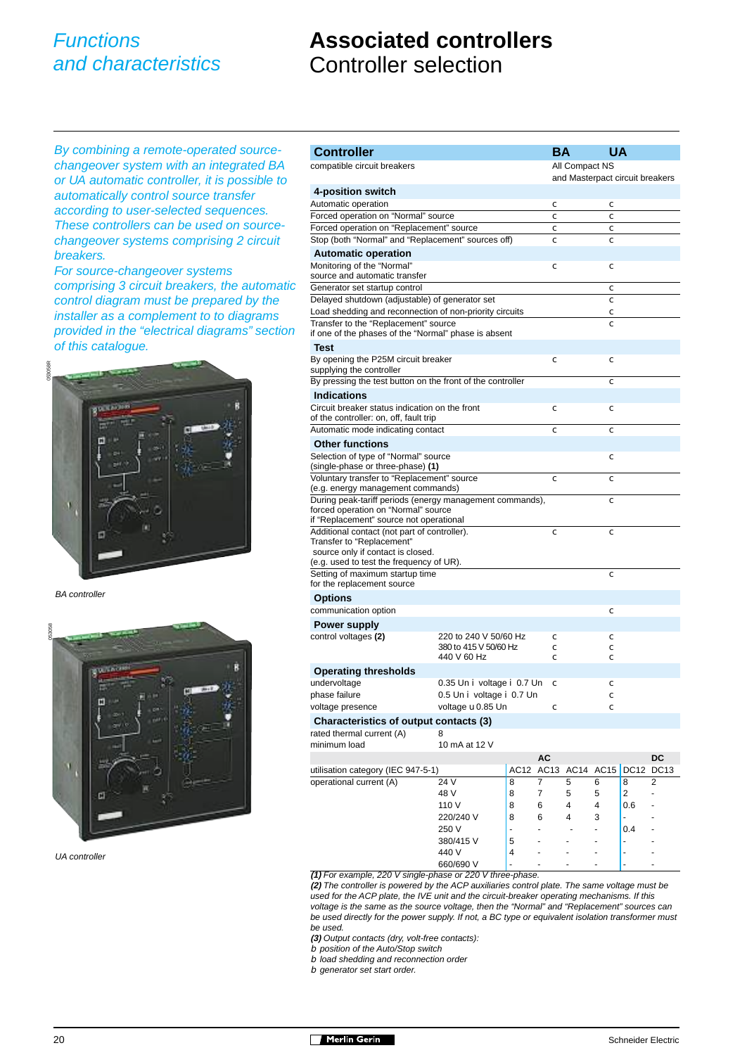## **Associated controllers** Controller selection

By combining a remote-operated sourcechangeover system with an integrated BA or UA automatic controller, it is possible to automatically control source transfer according to user-selected sequences. These controllers can be used on sourcechangeover systems comprising 2 circuit breakers.

For source-changeover systems comprising 3 circuit breakers, the automatic control diagram must be prepared by the installer as a complement to to diagrams provided in the "electrical diagrams" section of this catalogue.



BA controller



UA controller

| <b>Controller</b>                                                               |                                                |   | <b>BA</b>           |                                 | UA          |           |    |  |
|---------------------------------------------------------------------------------|------------------------------------------------|---|---------------------|---------------------------------|-------------|-----------|----|--|
| compatible circuit breakers                                                     |                                                |   |                     | All Compact NS                  |             |           |    |  |
|                                                                                 |                                                |   |                     | and Masterpact circuit breakers |             |           |    |  |
| 4-position switch                                                               |                                                |   |                     |                                 |             |           |    |  |
| Automatic operation                                                             |                                                |   | с                   |                                 | с           |           |    |  |
| Forced operation on "Normal" source                                             |                                                |   | C                   |                                 | с           |           |    |  |
| Forced operation on "Replacement" source                                        |                                                |   | с<br>C              |                                 | с           |           |    |  |
| Stop (both "Normal" and "Replacement" sources off)<br>с                         |                                                |   |                     |                                 |             |           |    |  |
| <b>Automatic operation</b><br>Monitoring of the "Normal"                        |                                                |   |                     |                                 |             |           |    |  |
| source and automatic transfer                                                   |                                                |   | с                   |                                 | с           |           |    |  |
| Generator set startup control                                                   |                                                |   |                     |                                 | с           |           |    |  |
| Delayed shutdown (adjustable) of generator set                                  |                                                |   |                     |                                 | $\mathbf c$ |           |    |  |
| Load shedding and reconnection of non-priority circuits                         |                                                |   |                     |                                 | C           |           |    |  |
| Transfer to the "Replacement" source                                            |                                                |   |                     |                                 | с           |           |    |  |
| if one of the phases of the "Normal" phase is absent                            |                                                |   |                     |                                 |             |           |    |  |
| Test                                                                            |                                                |   |                     |                                 |             |           |    |  |
| By opening the P25M circuit breaker<br>supplying the controller                 |                                                |   | с                   |                                 | C           |           |    |  |
| By pressing the test button on the front of the controller                      |                                                |   |                     |                                 | с           |           |    |  |
| <b>Indications</b>                                                              |                                                |   |                     |                                 |             |           |    |  |
| Circuit breaker status indication on the front                                  |                                                |   |                     |                                 | с           |           |    |  |
| of the controller: on, off, fault trip                                          |                                                |   | с                   |                                 |             |           |    |  |
| Automatic mode indicating contact                                               |                                                |   | с                   |                                 | с           |           |    |  |
| <b>Other functions</b>                                                          |                                                |   |                     |                                 |             |           |    |  |
| Selection of type of "Normal" source<br>с<br>(single-phase or three-phase) (1)  |                                                |   |                     |                                 |             |           |    |  |
| Voluntary transfer to "Replacement" source<br>(e.g. energy management commands) |                                                |   | с                   |                                 | с           |           |    |  |
| During peak-tariff periods (energy management commands),                        |                                                |   |                     |                                 | с           |           |    |  |
| forced operation on "Normal" source<br>if "Replacement" source not operational  |                                                |   |                     |                                 |             |           |    |  |
| Additional contact (not part of controller).                                    |                                                |   | C                   |                                 | с           |           |    |  |
| Transfer to "Replacement"                                                       |                                                |   |                     |                                 |             |           |    |  |
| source only if contact is closed.<br>(e.g. used to test the frequency of UR).   |                                                |   |                     |                                 |             |           |    |  |
| Setting of maximum startup time<br>с                                            |                                                |   |                     |                                 |             |           |    |  |
| for the replacement source                                                      |                                                |   |                     |                                 |             |           |    |  |
| <b>Options</b>                                                                  |                                                |   |                     |                                 |             |           |    |  |
| communication option                                                            |                                                |   |                     |                                 | $\mathbf c$ |           |    |  |
| <b>Power supply</b>                                                             |                                                |   |                     |                                 |             |           |    |  |
| control voltages (2)                                                            | 220 to 240 V 50/60 Hz                          |   | c                   |                                 | c           |           |    |  |
|                                                                                 | 380 to 415 V 50/60 Hz                          |   | с                   |                                 | C           |           |    |  |
|                                                                                 | 440 V 60 Hz                                    |   | с                   |                                 | с           |           |    |  |
| <b>Operating thresholds</b>                                                     |                                                |   |                     |                                 |             |           |    |  |
| undervoltage<br>phase failure                                                   | 0.35 Un i voltage i 0.7 Un                     |   | с                   |                                 | C           |           |    |  |
| voltage presence                                                                | 0.5 Un i voltage i 0.7 Un<br>voltage u 0.85 Un |   |                     |                                 | $\mathbf c$ |           |    |  |
|                                                                                 |                                                |   | с                   |                                 | с           |           |    |  |
| Characteristics of output contacts (3)                                          | 8                                              |   |                     |                                 |             |           |    |  |
| rated thermal current (A)<br>minimum load                                       | 10 mA at 12 V                                  |   |                     |                                 |             |           |    |  |
|                                                                                 |                                                |   | AC                  |                                 |             |           | DC |  |
| utilisation category (IEC 947-5-1)                                              |                                                |   | AC12 AC13 AC14 AC15 |                                 |             | DC12 DC13 |    |  |
| operational current (A)                                                         | 24 V                                           | 8 | 7                   | 5                               | 6           | 8         | 2  |  |
|                                                                                 | 48 V                                           | 8 | 7                   | 5                               | 5           | 2         |    |  |
|                                                                                 | 110 V                                          | 8 | 6                   | 4                               | 4           | 0.6       |    |  |
|                                                                                 | 220/240 V                                      | 8 | 6                   | 4                               | 3           |           |    |  |
|                                                                                 | 250 V                                          |   |                     |                                 |             | 0.4       |    |  |
|                                                                                 | 380/415 V                                      | 5 |                     |                                 |             |           |    |  |
|                                                                                 | 440 V                                          | 4 |                     |                                 |             |           |    |  |
|                                                                                 | 660/690 V                                      |   |                     |                                 |             |           |    |  |

**(1)** For example, 220 V single-phase or 220 V three-phase.

**(2)** The controller is powered by the ACP auxiliaries control plate. The same voltage must be used for the ACP plate, the IVE unit and the circuit-breaker operating mechanisms. If this voltage is the same as the source voltage, then the "Normal" and "Replacement" sources can be used directly for the power supply. If not, a BC type or equivalent isolation transformer must be used.

**(3)** Output contacts (dry, volt-free contacts):

b position of the Auto/Stop switch

b load shedding and reconnection order

b generator set start order.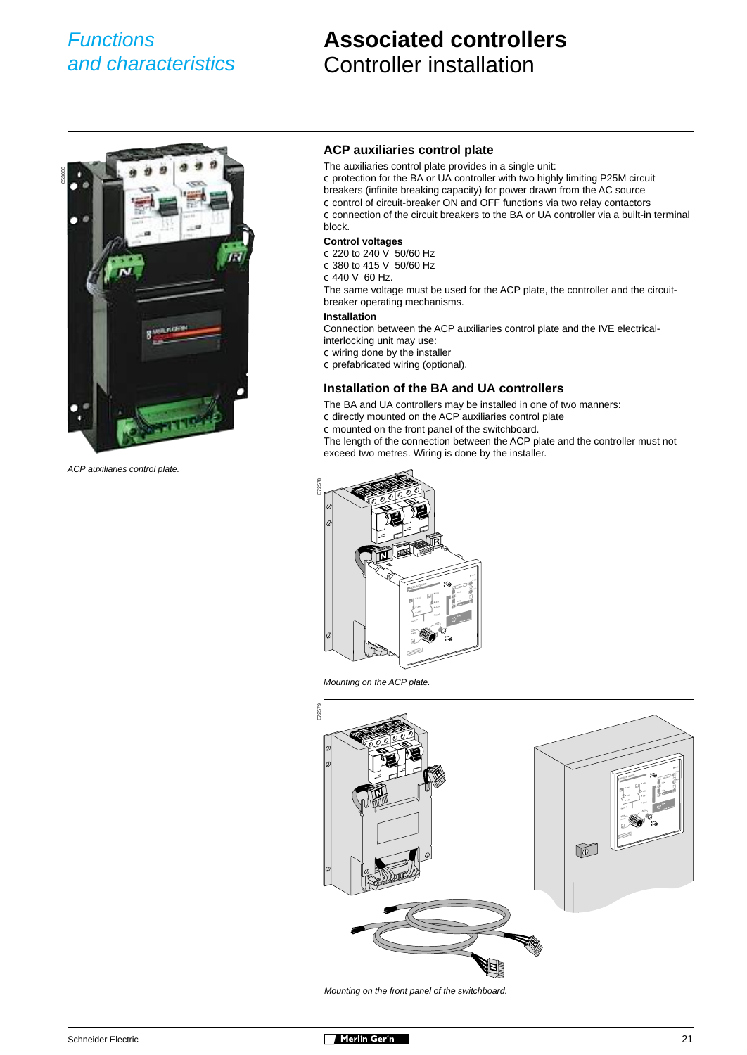## **Associated controllers** Controller installation



ACP auxiliaries control plate.

#### **ACP auxiliaries control plate**

The auxiliaries control plate provides in a single unit:

c protection for the BA or UA controller with two highly limiting P25M circuit

breakers (infinite breaking capacity) for power drawn from the AC source

c control of circuit-breaker ON and OFF functions via two relay contactors

c connection of the circuit breakers to the BA or UA controller via a built-in terminal block.

#### **Control voltages**

- c 220 to 240 V 50/60 Hz
- c 380 to 415 V 50/60 Hz
- c 440 V 60 Hz.

The same voltage must be used for the ACP plate, the controller and the circuitbreaker operating mechanisms.

#### **Installation**

Connection between the ACP auxiliaries control plate and the IVE electricalinterlocking unit may use:

- c wiring done by the installer
- c prefabricated wiring (optional).

#### **Installation of the BA and UA controllers**

The BA and UA controllers may be installed in one of two manners:

- c directly mounted on the ACP auxiliaries control plate
- c mounted on the front panel of the switchboard.

The length of the connection between the ACP plate and the controller must not exceed two metres. Wiring is done by the installer.



Mounting on the ACP plate.



Mounting on the front panel of the switchboard.

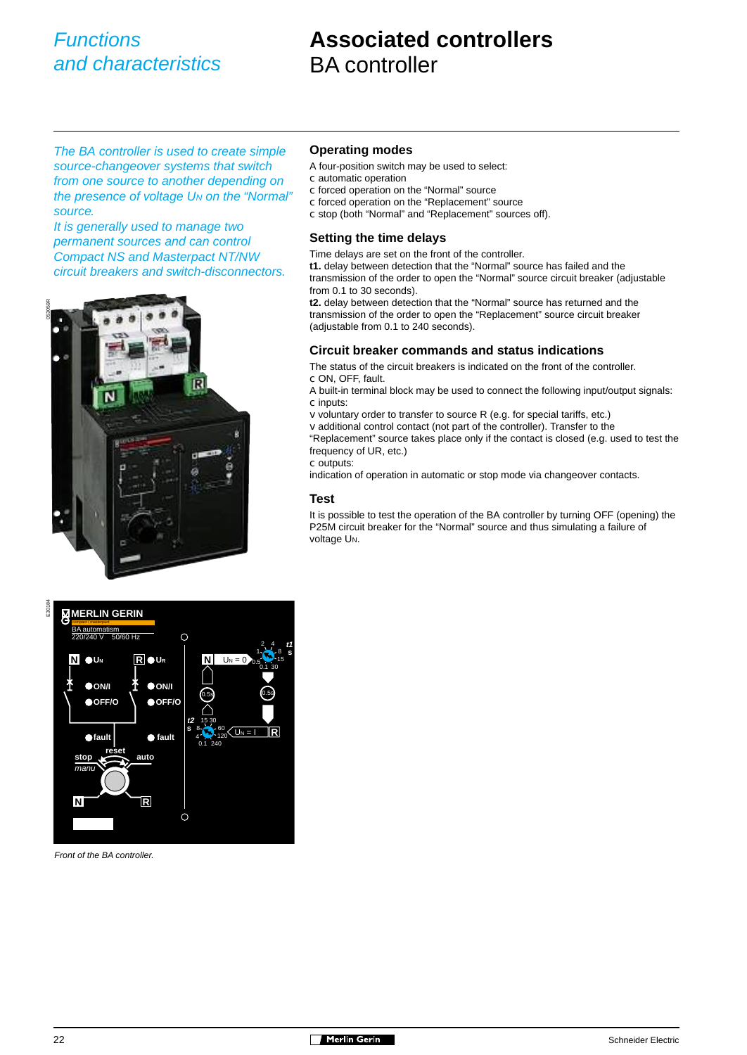## **Associated controllers** BA controller

The BA controller is used to create simple source-changeover systems that switch from one source to another depending on the presence of voltage U<sub>N</sub> on the "Normal" source.

It is generally used to manage two permanent sources and can control Compact NS and Masterpact NT/NW circuit breakers and switch-disconnectors.



#### **Operating modes**

- A four-position switch may be used to select:
- c automatic operation
- c forced operation on the "Normal" source
- c forced operation on the "Replacement" source
- c stop (both "Normal" and "Replacement" sources off).

#### **Setting the time delays**

Time delays are set on the front of the controller.

**t1.** delay between detection that the "Normal" source has failed and the

transmission of the order to open the "Normal" source circuit breaker (adjustable from 0.1 to 30 seconds).

**t2.** delay between detection that the "Normal" source has returned and the transmission of the order to open the "Replacement" source circuit breaker (adjustable from 0.1 to 240 seconds).

#### **Circuit breaker commands and status indications**

The status of the circuit breakers is indicated on the front of the controller. c ON, OFF, fault.

A built-in terminal block may be used to connect the following input/output signals: c inputs:

v voluntary order to transfer to source R (e.g. for special tariffs, etc.)

v additional control contact (not part of the controller). Transfer to the "Replacement" source takes place only if the contact is closed (e.g. used to test the frequency of UR, etc.)

c outputs:

indication of operation in automatic or stop mode via changeover contacts.

#### **Test**

It is possible to test the operation of the BA controller by turning OFF (opening) the P25M circuit breaker for the "Normal" source and thus simulating a failure of voltage UN.



Front of the BA controller.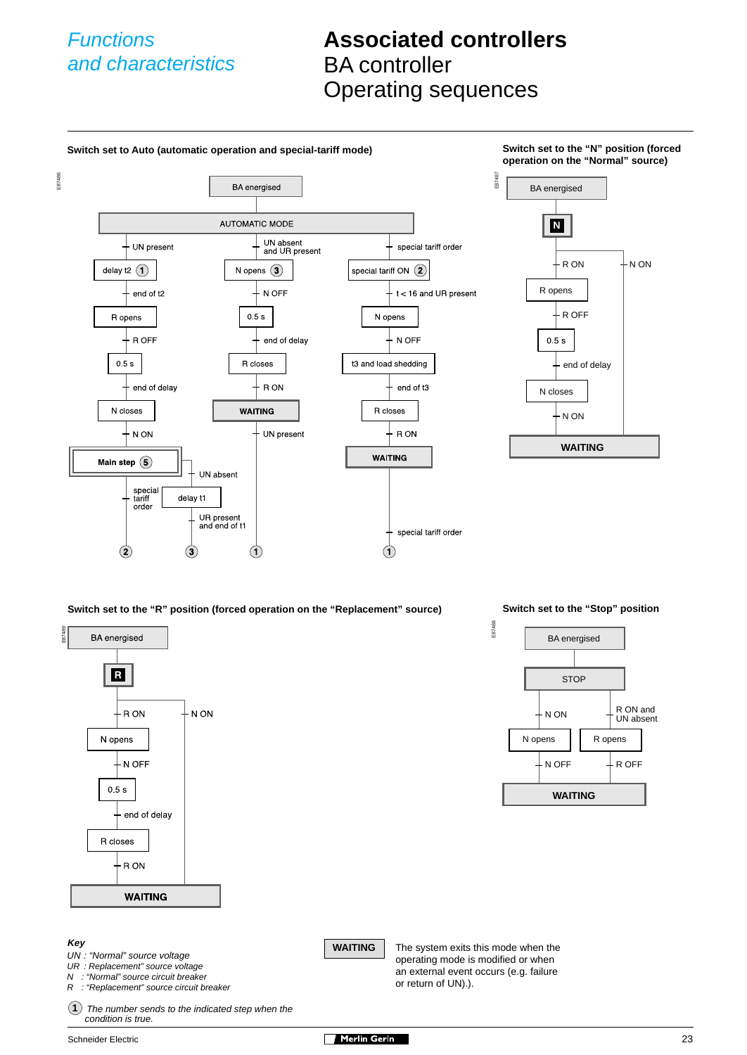## **Associated controllers** BA controller Operating sequences





#### **Key**

UN : "Normal" source voltage

UR : Replacement" source voltage

N : "Normal" source circuit breaker<br>R : "Replacement" source circuit br

"Replacement" source circuit breaker

1) The number sends to the indicated step when the condition is true.

**WAITING** The system exits this mode when the operating mode is modified or when an external event occurs (e.g. failure or return of UN).).

- N OFF

**WAITING**

 $\downarrow$  R OFF

Schneider Electric 23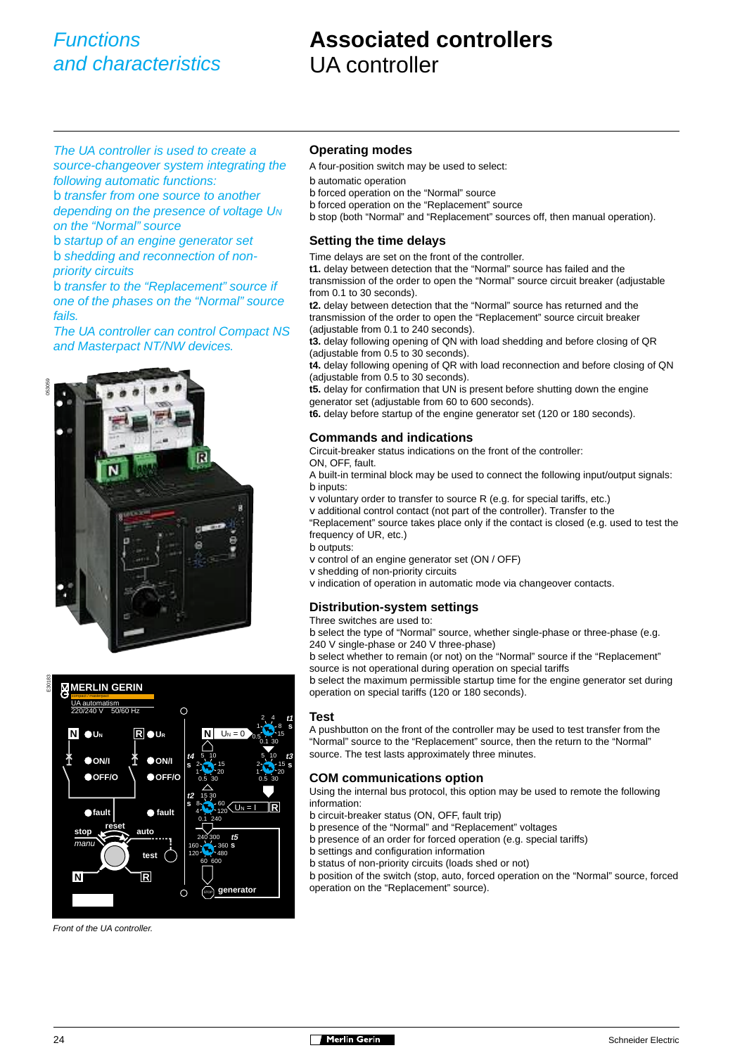## **Associated controllers** UA controller

The UA controller is used to create a source-changeover system integrating the following automatic functions: b transfer from one source to another depending on the presence of voltage U<sub>N</sub> on the "Normal" source b startup of an engine generator set

b shedding and reconnection of nonpriority circuits

b transfer to the "Replacement" source if one of the phases on the "Normal" source fails.

The UA controller can control Compact NS and Masterpact NT/NW devices.





Front of the UA controller.

#### **Operating modes**

- A four-position switch may be used to select:
- b automatic operation
- b forced operation on the "Normal" source
- b forced operation on the "Replacement" source

b stop (both "Normal" and "Replacement" sources off, then manual operation).

#### **Setting the time delays**

Time delays are set on the front of the controller.

**t1.** delay between detection that the "Normal" source has failed and the transmission of the order to open the "Normal" source circuit breaker (adjustable from 0.1 to 30 seconds).

**t2.** delay between detection that the "Normal" source has returned and the transmission of the order to open the "Replacement" source circuit breaker (adjustable from 0.1 to 240 seconds).

**t3.** delay following opening of QN with load shedding and before closing of QR (adjustable from 0.5 to 30 seconds).

**t4.** delay following opening of QR with load reconnection and before closing of QN (adjustable from 0.5 to 30 seconds).

**t5.** delay for confirmation that UN is present before shutting down the engine generator set (adjustable from 60 to 600 seconds).

**t6.** delay before startup of the engine generator set (120 or 180 seconds).

#### **Commands and indications**

Circuit-breaker status indications on the front of the controller:

ON, OFF, fault.

A built-in terminal block may be used to connect the following input/output signals: b inputs:

v voluntary order to transfer to source R (e.g. for special tariffs, etc.)

v additional control contact (not part of the controller). Transfer to the

"Replacement" source takes place only if the contact is closed (e.g. used to test the frequency of UR, etc.)

b outputs:

- v control of an engine generator set (ON / OFF)
- v shedding of non-priority circuits
- v indication of operation in automatic mode via changeover contacts.

#### **Distribution-system settings**

#### Three switches are used to:

b select the type of "Normal" source, whether single-phase or three-phase (e.g. 240 V single-phase or 240 V three-phase)

b select whether to remain (or not) on the "Normal" source if the "Replacement" source is not operational during operation on special tariffs

b select the maximum permissible startup time for the engine generator set during operation on special tariffs (120 or 180 seconds).

#### **Test**

A pushbutton on the front of the controller may be used to test transfer from the "Normal" source to the "Replacement" source, then the return to the "Normal" source. The test lasts approximately three minutes.

#### **COM communications option**

Using the internal bus protocol, this option may be used to remote the following information:

- b circuit-breaker status (ON, OFF, fault trip)
- b presence of the "Normal" and "Replacement" voltages
- b presence of an order for forced operation (e.g. special tariffs)
- b settings and configuration information
- b status of non-priority circuits (loads shed or not)

b position of the switch (stop, auto, forced operation on the "Normal" source, forced operation on the "Replacement" source).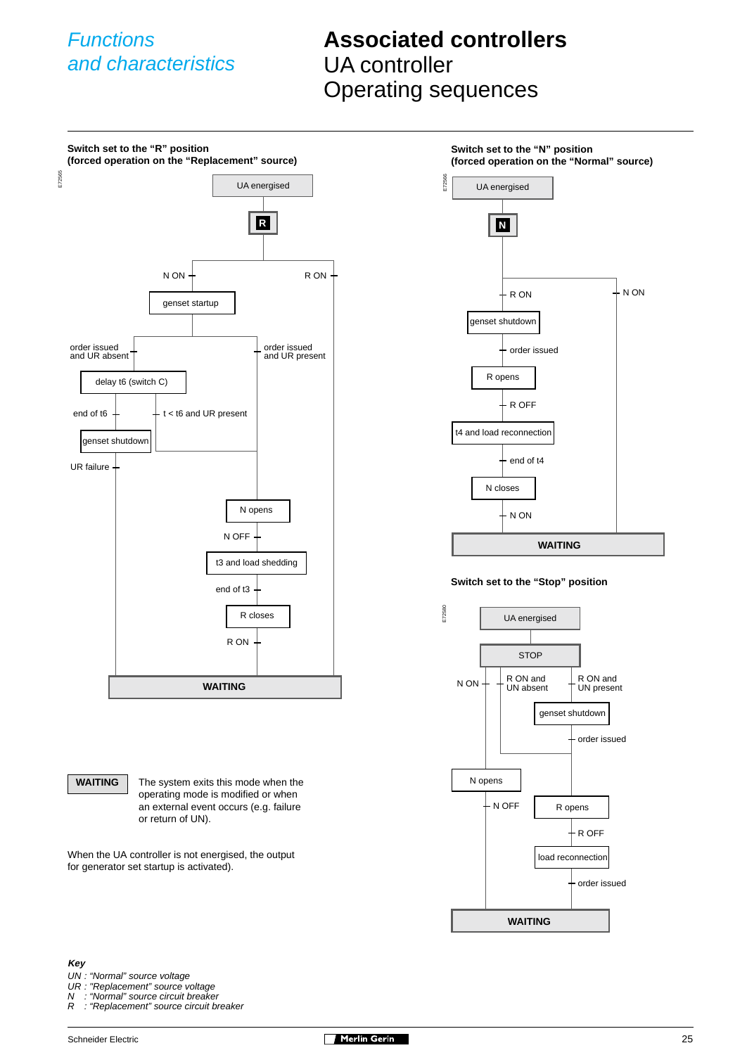## **Associated controllers** UA controller Operating sequences

Street and the control of the street and the street and the street and the street and the street and the street and the street and the street and the street and the street and the street and the street and the street and **Switch set to the "N" position (forced operation on the "Normal" source)** E72580 **Switch set to the "Stop" position** E72565 **Switch set to the "R" position (forced operation on the "Replacement" source) R** UA energised  $N ON + R ON$ genset startup order issued and UR absent end of t6 order issued and UR present t < t6 and UR present UR failure N opens t3 and load shedding R closes N OFF end of t3 R ON **WAITING** delay t6 (switch C) genset shutdown **N** UA energised  $R ON$   $+ N ON$ genset shutdown order issued R opens R OFF t4 and load reconnection end of t4 N closes N ON **WAITING** UA energised N ON STOP R ON and UN absent R ON and UN present genset shutdown

**WAITING** The system exits this mode when the operating mode is modified or when an external event occurs (e.g. failure or return of UN).

When the UA controller is not energised, the output for generator set startup is activated).

#### **Key**

- UN : "Normal" source voltage
- 
- UR : "Replacement" source voltage N : "Normal" source circuit breaker
- R : "Replacement" source circuit breaker



N opens

N OFF

**WAITING**

order issued

R opens

load reconnection

R OFF

order issued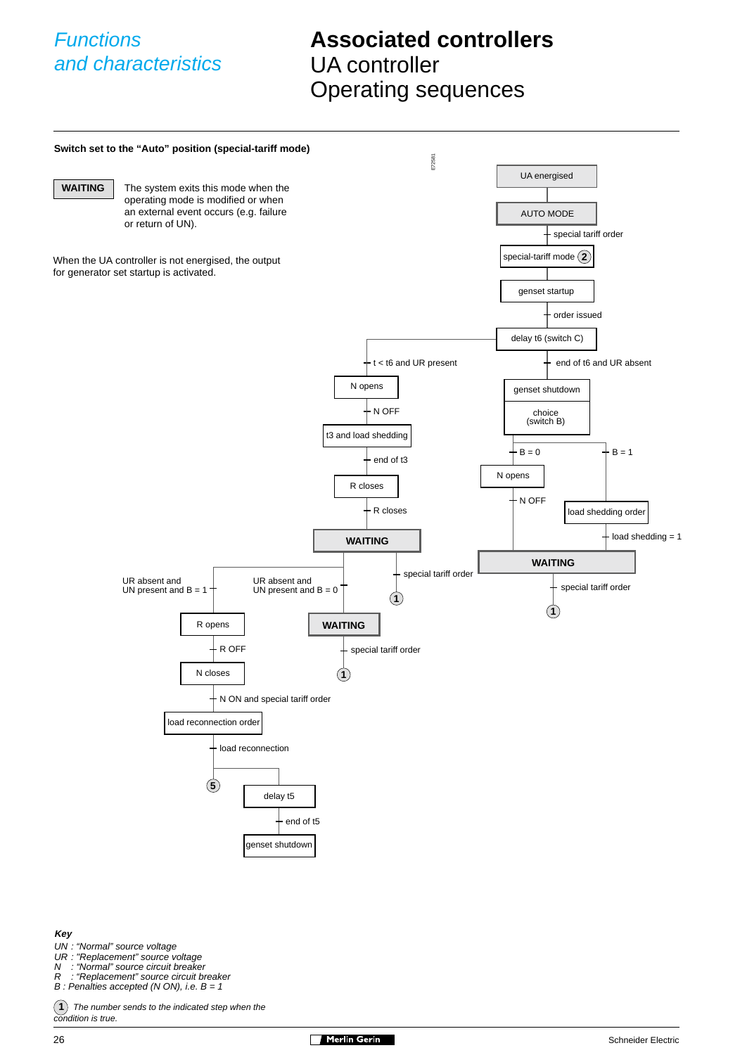## **Associated controllers** UA controller Operating sequences



**Key**

- UN : "Normal" source voltage
- UR : "Replacement" source voltage<br>N : "Normal" source circuit breake
- N : "Normal" source circuit breaker<br>R : "Replacement" source circuit br
- "Replacement" source circuit breaker  $B$  : Penalties accepted (N ON), i.e.  $B = 1$

**1**) The number sends to the indicated step when the condition is true.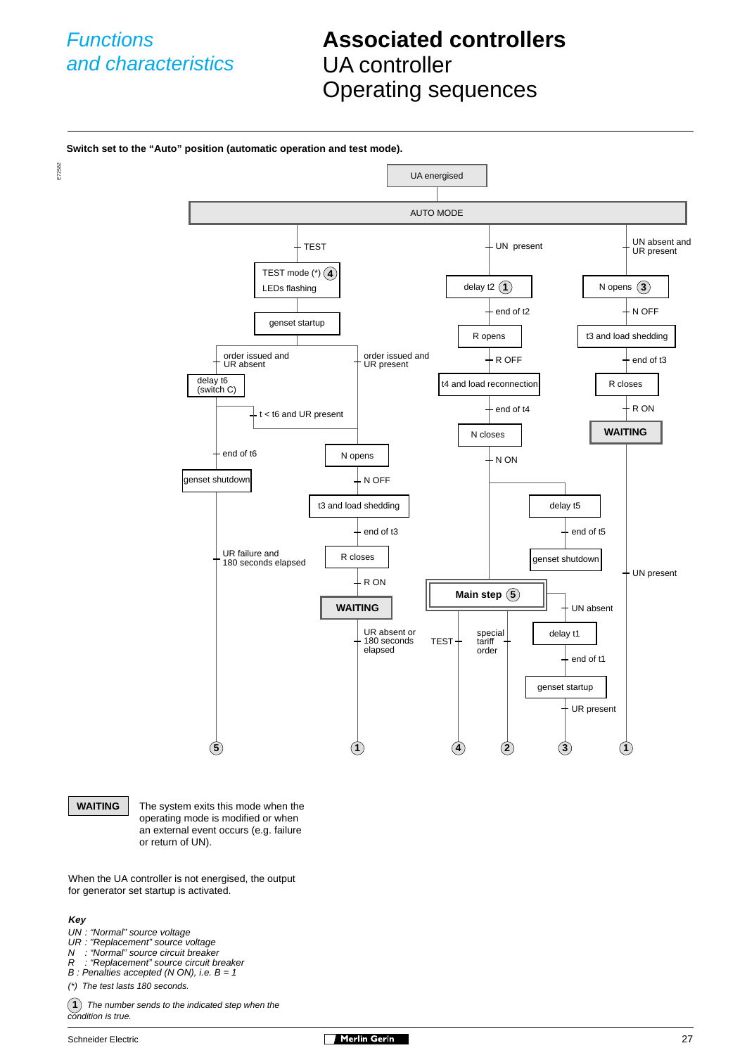## **Associated controllers** UA controller Operating sequences



**WAITING** The system exits this mode when the operating mode is modified or when an external event occurs (e.g. failure or return of UN).

When the UA controller is not energised, the output for generator set startup is activated.

#### **Key**

- UN : "Normal" source voltage
- UR : "Replacement" source voltage
- N : "Normal" source circuit breaker R : "Replacement" source circuit breaker
- $B$ : Penalties accepted (N ON), i.e.  $B = 1$
- (\*) The test lasts 180 seconds.
- $(1)$  The number sends to the indicated step when the condition is true.

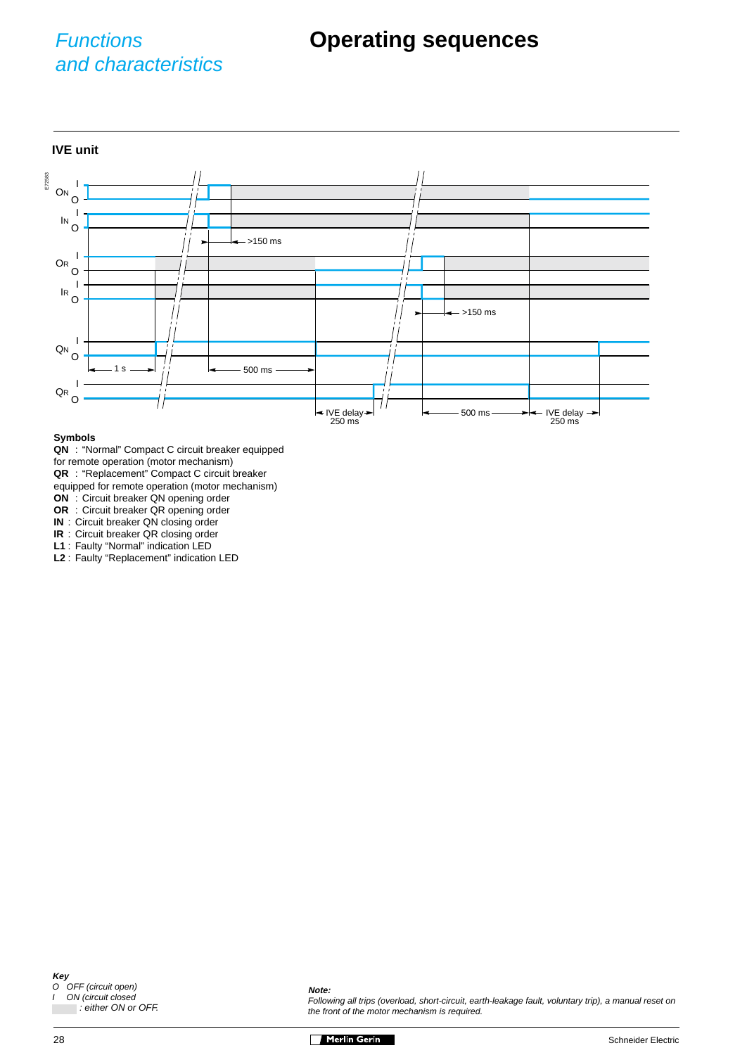# and characteristics

**IVE unit** E72583 IVE delay  $\rightarrow$ 250 ms IVE delay→ 250 ms I O I  $\overline{N}$  O I O OR I O IR I <sup>QN</sup> O I O QR 500 ms >150 ms >150 ms 500 ms **O<sub>N</sub>** 

#### **Symbols**

- **QN** : "Normal" Compact C circuit breaker equipped
- for remote operation (motor mechanism)
- **QR** : "Replacement" Compact C circuit breaker

equipped for remote operation (motor mechanism)

- **ON** : Circuit breaker QN opening order
- **OR** : Circuit breaker QR opening order
- **IN** : Circuit breaker QN closing order

**IR** : Circuit breaker QR closing order

**L1** : Faulty "Normal" indication LED

**L2** : Faulty "Replacement" indication LED

#### **Note:**

Following all trips (overload, short-circuit, earth-leakage fault, voluntary trip), a manual reset on the front of the motor mechanism is required.